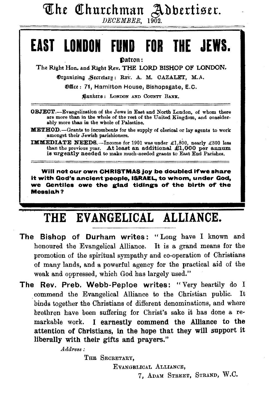The Churchman Addertiser.

# **EAST LOIDON FUND FOR THE JEWS.**

Datron:

The Right Hon. and Right Rev. THE LORD BISHOP OF LONDON.

Organising Secretary: REV. A. M. CAZALET, M.A.

®filet: 71, Hamilton House, Bishopsgate, E. C.

~ankttS : LoNDON AND CoUNTY BANK,

OBJECT.--Evangelization of the Jews in East and North London, of whom there are more than in the whole of the rest of the United Kingdom, and considerably more than in the whole of Palestine.

**METHOD.**-Grants to incumbents for the supply of clerical or lay agents to work amongst their Jewish parishioners.

IMMEDIATE NEEDS.-Income for 1901 was under £1,800, nearly £300 less than the previous year. At least an additional  $\pounds1,000$  per annum is urgently needed to make much-needed grants to East End Parishes.

Will not our own CHRISTMAS joy be doubled if we share it with God's ancient people, ISRAEL, to whom, under Qod, we Gentiles owe the glad tidings of the birth of the Messiah?

# THE EVANGELICAL ALLIANCE.

- The Bishop of Durham writes: "Long have I known and honoured the Evangelical Alliance. It is a grand means for the promotion of the spiritual sympathy and co-operation of Christians of many lands, and a powerful agency for the practical aid of the weak and oppressed, which God has largely used."
- The Rev. Preb. Webb-Peploe writes: "Very heartily do I . commend the Evangelical Alliance to the Christian public. It binds together the Christians of different denominations, and where brethren have been suffering for Christ's sake it has done a remarkable work. I earnestly commend the Alliance to the attention of Christians, in the hope that they will support it liberally with their gifts and prayers."

*Adaress:* 

THE SECRETARY,

EvANGELICAL ALLIANCE,

7, ADAM STREET, STRAND, W.C.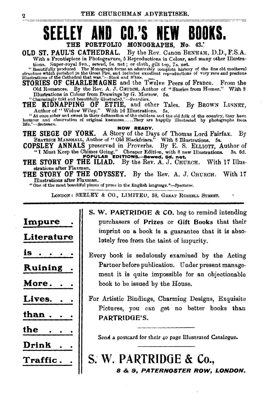# **BOOKS.** THE PORTFOLIO MONOGRAPHS, No.

OLD ST. PAUL'S CATHEDRAL. By the Rev. Canon BENHAM, D.D., F.S.A. With a. Frontispiece in Photogravure, 5 Reproductions in Colour, and many other Illustra-

tions. Super-royal 8vo., sewed, 5s. net; or cloth, gilt top, 7s. net.<br>"Beautifully produced The Monograph forms an admirably complete history of the fine old modiaval<br>structure which perished in the Great Fire, and includ

STORIES OF CHARLEMAGNE and the Twelve Peers of France. From the Old Romances. By the Rev. A. J. CHUROH, Author of "Stories from Homer." With 8

Illustrations in Colour from Drawings by G. Morrow. 5s.<br>
"Charmingly told and beautifully illustrated."—Guardian.<br>
THE KIDNAPPING OF ETTIE, and other Tales. By BROWN LINNET,<br>
Author of "Widow Wiley." With 16 Illustrations.

" At once sober and sweet in their delineation of the children and the old folk of the country, they have humour and observation of original keenness....They are happily illustrated by photographs from life."--Scotsman.

**NOW READY.**<br>THE SIEGE OF YORK. A Story of the Days of Thomas Lord Fairfax. By BEATRICE MARSHALL, Author of "Old Blackfriars." With 8 Illustrations. 5s.

COPSLEY ANNALS preserved in Proverbs. By E. S. ELLIOTT, Author of "I Must Keep the Chimes Going." Cheaper Edition, with 8 new Illustrations. 3s. 6d.<br>
POPULAR EDITIONS.-4ewed, 6d. net.

THE STORY OF THE ILIAD. By the Rev. A. J. CHURCH. With 17 Illusstrations after Flaxman.

THE STORY OF THE ODYSSEY. By the Rev. A. J. CHURCH. With 17 Tilustrations after Flaxman.

"One of the most beautiful pieces of prose in the English language."-Spectator.

LONDON: SEELEY & CO., LIMITEO, 38, GREAT RUSSELL STREET.

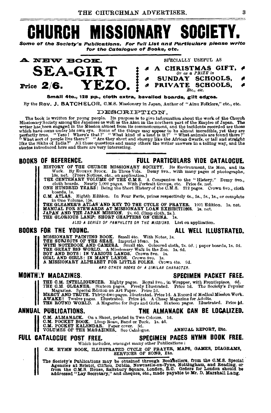#### ISSION CHURCH SOGIET h,

Some of the Society's Publications. For full List and Particulars please write for the Catalogue of Books, etc.

SPECIALLY USEFUL AS

 $\mathbf{B}$ 



### Small 4to., 128 pp., cloth extra, bevelled boards, gilt edges.

By the Rev. J. BATCHELOR, C.M.S. Missionary in Japan, Author of "Ainu Folklore," etc., etc.

#### DESCRIPTION.

The book is written for young people. Its purpose is to give information about the work of the Church Missionary Society among the Japanese as well as the Ainu in the northern part of the Empire of Japan. The writer has b stories introduced here and there are very interesting.

### **BOOKS OF REFERENCE.**

## **FULL PARTICULARS VIDE CATALOGUE.**

HISTORY OF THE CHURCH MISSIONARY SOCIETY. Its Environment, its Men, and its

HISTORY OF THE CHUCKET HISSIDNALY SOULETY. Its Environment, its Men, and its Mork. By EUGENERALY SPOCK. In Three Vols. Demy Svo., with many pages of photographs, THE CENTERALY VOLUME OF THE CAME S. A Companion.)<br>ITE CENTER

boards, 1s.<br>C.M. ATLAS. Eighth Edition. In Four Parts, prices respectively 4s., 5s., 5s., 1s., or complete

C.M. ATLAS. Eighth Edition. In Four Farts, prices respectively 25, set, set, set, or compressed in the Volume, 15s.<br>THE GLEANER'S ATLAS AND KEY TO THE OYOLE OF PRAYER. 1001 Edition. Is, net.<br>MANUAL FOR STEWARDS AT MISSIONA

ALSO A SERIES OF PAMPHLETS ON THE MISSIONS. List on application.

### **BOOKS FOR THE YOUNG.**

MISSIONARY PAINTING BOOK. Small 4to. With Notes, 1s.<br>THE SURICUS OF THE START PAINTING BOOK. Small 4to. Ooloured cloth, 2s. 6d.; paper boards, 1s. 6d.<br>THE GREAT BIG WORLD. A Missionary Walk in the Zoo. 1s. 6d.<br>THE GREAT BI

AND OTHER BOOKS OF A SIMILAR CHARACTER.

## **MONTHLY MACAZINES.**

## SPECIMEN PACKET FREE.

THE C.M. INTELLIGENCER. Eighty pages. Royal Svo., in Wrapper, with Frontispiece. 6d.<br>THE C.M. GLEANER. Sixteen pages. Freely Illustrated. Price 1d. The Society's Fopular<br>Magazine. Special Bdittion on Art Faper. Price 2d.<br>M

## ANNUAL PUBLICATIONS.

C.M. ALMANACK. On a Sheet, printed in Two Colours. 1d.

**C.M. REDIRECT BOOK.** Limp Rean, Band or Tuck. 1s. 4d.<br>C.M. POCKET BOOK. Limp Rean, Band or Tuck. 1s. 4d.<br>C.M. POCKET KALENDAR. Paper cover. 3d.<br>VOLUMES OF THE MAGAZINES. See Catalogue.

### FULL CATALOGUE POST FREE.

## SPECIMEN PACES HYMN BOOK FREE.

THE ALMANACK CAN BE LOCALIZED.

ANNUAL REPORT. Etc.

Which includes, amongst many other Publications:

C.M. HYMN BOOK, ILLUSTRATED CYCLE OF PRAYER, MAPS, GAMES, DIAGRAMS, SERVICES OF SONG, Etc.

The Society's Publications may be obtained through Booksellers, from the G.M.S. Special Agenoise at Bristol, Clifton, Dublin, Newcastle-On-Tyne, Notingham, and Reading, or from the C.M.S. House, Salisbury Squase, London, B

ALL WELL ILLUSTRATED.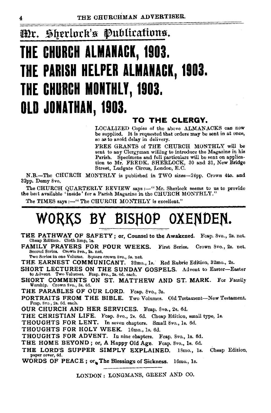### Sherlock's Publications. Mr.

# THE CHURCH ALMANACK, 1903. THE PARISH HELPER ALMANACK, 1903. THE CHURCH MONTHLY, 1903. OLD JONATHAN, 1903.

## TO THE CLERGY.

LOCALIZED Copies of the above ALMANACKS can now be supplied. It is requested that orders may be sent in at once, so as to avoid delay in delivery.

FREE GRANTS of THE CHURCH MONTHLY will be sent to any Clergyman willing to introduce the Magazine in his Parish. Specimens and full particulars will be sent on application to Mr. FREDK. SHERLOCK, 30 and 31, New Bridge Street, Ludgate Circus, London, E.C.

N.B.-The CHURCH MONTHLY is published in TWO sizes-24pp. Crown 4to. and 32pp. Demy 8vo.

The CHURCH QUARTERLY REVIEW says :- "Mr. Sherlock seems to us to provide the best available 'inside' for a Parish Magazine in the CHURCH MONTHLY."

The TIMES savs :---" The CHURCH MONTHLY is excellent."

# WORKS BY BISHOP OXENDEN.

- THE PATHWAY OF SAFETY; or, Counsel to the Awakened. Fcap. 8vo., 2s. net. Cheap Edition. Cloth limp, 1s.
- FAMILY PRAYERS FOR FOUR WEEKS. First Series. Crown 8vo., 2s. net. Second Series. Crown 8vo., 2s. net.<br>Two Series in one Volume. Square crown 8vo., 5s. net.

THE EARNEST COMMUNICANT. 32mo., 1s. Red Rubric Edition, 32mo., 2s.

SHORT LECTURES ON THE SUNDAY GOSPELS. Advent to Easter-Easter to Advent. Two Volumes. Fcap. 8vo., 2s. 6d. each.

SHORT COMMENTS ON ST. MATTHEW AND ST. MARK. For Family Worship. Crown Svo., 8s. 6d.

THE PARABLES OF OUR LORD. Fcap. 8vo., 3s.

PORTRAITS FROM THE BIBLE. Two Volumes. Old Testament-New Testament. Fcap. 8vo., 2s. 6d. each.

OUR CHURCH AND HER SERVICES. Feap. 8vo., 2s. 6d.

THE CHRISTIAN LIFE. Feap. 8vo., 2s. 6d. Cheap Edition, small type, 1s.

THOUGHTS FOR LENT. In seven chapters. Small 8vo., 1s. 6d.

THOUGHTS FOR HOLY WEEK. 16mo., 1s. 6d.

THOUGHTS FOR ADVENT. In nine chapters. Feap. 8vo., 1s. 6d.

THE HOME BEYOND; or, A Happy Old Age. Fcap. 8vo., 1s. 6d.

THE LORD'S SUPPER SIMPLY EXPLAINED. Cheap Edition.  $18$ mo.,  $1s$ . paper cover, 6d.

WORDS OF PEACE; or, The Blessings of Sickness. 16mo., 1s.

LONDON: LONGMANS, GREEN AND CO.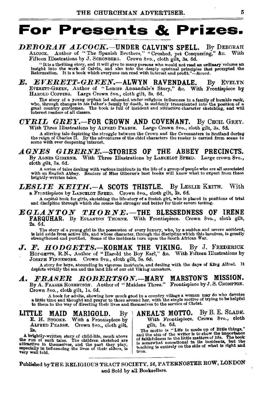# **For Presents & Prizes.**

# *DEBORAH ALCOCK.-UNDER* CALVIN'S SPELL. By DEBORAH ALOOOK. Author of "The Spanish Brothers," "Crushed, yet Conquering," &c. With

Fifteen Illustrations by J. SCHONBERG. Crown Svo., cloth gilt, 8s. 6d. "It is a thrilling story, and it will give to many persons who would not read an ordinary volume an insight into the work of Calvin, and also into the deeply spiritual principles that prompted the Reformation. It is a book

*E. EVERETT-GREEN.-ALWYN* RAVENDALE. By EVELYN EVERETT-GREEN, Author of "Lenore Annandale's Story," &c. With Frontispiece by HaROLD CoPPING. Large Crown Svo., cloth gilt, 8s. 6d.

The story of a young orphan lad educated under religious influences in a family of humble rank, who, through changes in his father's family by death, is suddenly transplanted into the position of a great country gentleman.

### *CYRIL GREY.-FOR* CROWN AND COVENANT. By CEcn, GREY. With Three Illustrations by ALFRED PEARSE. Large Crown 8vo., cloth gilt, 3s. 6d.

A stirring tale depicting the struggle between the Crown and the Covenanters in Scotland during<br>the reign of Charles II. By the adventures of the chief characters the reader is carried from scene to<br>scene with ever deepeni

### *AGNES GIBERNE.-STORIES* OF THE ABBEY PRECINCTS. By AGNEs GIBERNE. With Three Illustrations by LANOELOT SPEED. Large crown Svo.,

cloth gilt, 8s. 6d.

A series of tales dealing with various incidents in the life of a group of people who are all associated with an English Abbey. Readers of Miss Giberne's best books will know what to expect from these brightly-written tales.

*LESLIE KEITH.-A* SCOTS THISTLE. By LESLIE KEITH. With a. Frontispiece by LANCELOT SPEED. Crown Svo., cloth gilt, 2s. 6d.

A capital book for girls, sketching the life-story of a Scotch girl, who is placed in positions of trial and discipline through which she comes the stronger and better for their severe testing.

*EGLANTON THORNE.-THE* BLESSEDNESS OF IRENE FARQUHAR. By EGLANTON THORNE. With Frontispiece. Crown 8vo., cloth gilt, 2s. 6d.

The story of a young girl in the possession of every luxury, who, by a sudden and severe accident,<br>is laid aside from active life, and whose character, through the discipline which this involves, is greatly<br>strengthened an

J. F. HODGETTS.-KORMAK THE VIKING. By J. FREDERICK Honcerts, R.N., Author of "Harold the Boy Earl," &c. With Fifteen Illustrations by<br>Joseph Finansmons. Crown 8vo., cloth gilt. 3s. 6d. Grown 8vo., cloth gilt, 3s. 6d.

A story for boys, abounding in vigorous incidents, and dealing with the days of King Alfred. It depicts vividly the sea and the land life of our old Viking ancestors.

# *A. FRASER ROBERTSON.-MARY* MABSTON'S MISSION.

By A. FRASER ROBERTSON. Author of " Maidens Three." Frontispiece by J. S. CROMPTON. Crown Svo., cloth gilt, ls. 6d.

A book for adults, showing how much good in a country village a woman may do who devotes.<br>A little time and thought and prayer to those around her, with the single motive of trying to be helpful<br>to them in the way of direc

LITTLE MAID MARIGOLD. By E. H. STOOKE. With a. Frontispiece by ALFRED PEARSE, Crown 8vo., cloth gilt, 2a.

A brightly-written story of child-life, much above the run of such tsles. The ohtldren sketched are attractive in themselves, and the part they play, especially in influencing the lives of their elders, is very well told.

ANEAL'S MOTTO. By B. E. SLADE. With Frontispiece. Crown 8vo., cloth gilt, ls. 6d.

The motto is "Life is made up of little things,"<br>and the aim of the where is to show the importance<br>of faithfulness in the little matters of life. The book<br>is somewhat sonsational in its incidents, but the<br>teaching is enti true.

Published by THE RELIGIOUS TRACT SOCIETY, 56, PATERNOSTER ROW, LONDON and Sold by all Booksellers.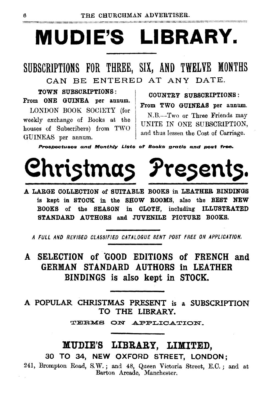# **MUDIE'S LIBRARY.**

SUBSCRIPTIONS FOR THREE, SIX, AND TWELVE MONTHS CAN BE ENTERED AT ANY DATE.

TOWN SUBSCRIPTIONS: From ONE GUINEA per annum. LONDON BOOK SOCIETY (for weekly exchange of Books at the houses of Subscribers) from TWO GUINEAS per annum.

COUNTRY SUBSCRIPTIONS : From TWO GUINEAS per annum. N.B.-Two or Three Friends may UNITE IN ONE SUBSCRIPTION, and thus lessen the Cost of Carriage.

Prospectuses and Monthly Lists of Books gratis and post free.



A LARGE COLLECTION of SUITABLE BOOKS in LEATHER BINDINGS is kept in STOCK in the SHOW ROOMS, also the BEST NEW BOOKS of the SEASON in CLOTH, including ILLUSTRATED STANDARD AUTHORS and JUVENILE PICTURE BOOKS.

*A FULL AND REV/BED CLASSIFIED CATALOGUE SENT POST FREE ON APPLICATION.* 

A SELECTION of GOOD EDITIONS of FRENCH and GERMAN STANDARD AUTHORS in LEATHER BINDINGS is also kept in STOCK.

A POPULAR CHRISTMAS PRESENT is a SUBSCRIPTION TO THE LIBRARY.

TERMS ON APPLICATION.

# MUDIE'S LIBRARY, LIMITED,

30 TO 34, NEW OXFORD STREET, LONDON;

241, Brompton Road, S.vV.; and 48, Queen Victoria Street, E.C.; and at Barton Arcade, Manchester.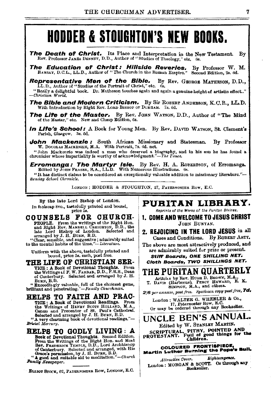# **HODDER & STOUGHTON'S NEW BOOKS.**

- The Death of Christ. Its Place and Interpretation in the New Testament. By Rev. Professor JAMES DENNEY, D.D., Author of "Studies of Theology," etc. 6s.
- The Education of Christ: Hillside Reveries. By Professor W. M. RAMSAY, D.C.L., LL.D., Author of "The Church in the Roman Empire." Second Edition, 2s. 6d.

Representative Men of the Bible. By Rev. GEORGE MATHESON, D.D., LL.D., Author of "Studies of the Portrait of Christ," etc. 6s. "Really a delightful book. Dr. Matheson touches again and again a genuine height of artistic effect.." *-G'hristian World.* 

The Bible and Modern Criticism. By Sir ROBERT ANDERSON, K.C.B., LL.D. With Introduction by Right Rev. LORD BISHOP OF DURHAM. 7s. 6d.

The Life of the Master. By Rev. JOHN WATSON, D.D., Author of "The Mind of the Master," etc. New and Cheap Edition, 6s.

In Life's School: A Book for Young Men. By Rev. DAVID WATSON, St. Clement's Parish, Glasgow. 3s. 6d.

**John Mackenzie:** South African Missionary and Statesman. By Professor W. Douglas Mackenzie, M.A. With Portrait, 7s. 6d. net.

"John Mackenzie was indeed a man who deserved a biography, and in his son he has found a chronicler whose impartiality is worthy of a.eknowledgment."-The *Time•.* 

Erromanga: The Martyr Isle. By Rev. H. A. ROBERTSON, of Erromanga.<br>Edited by John Fraser, B.A., LL.D. With Numerous Illustrations. ts.

"It has distinct claims to bs considered an sxceptionally valuable addition to missionary literature."-  $S$ unday *School Chronicle*.

LONDON; HODDER & STOUGHTON, 27, PATERNOSTER ROW, E.C.

By the late Lord Bishop of London. In foolscap 8vo., tastefully printed and bound, price os.

COUNSELS FOR CHURCH-PEOPLE. From the writings of the Right Hon.<br>and Right Rev. MANDELL CREIORTON, D.D., the<br>late Lord Bishop of London. Selected and

arranged by J. H. BURN, B.D.<br>"Clear, sensible, and suggestive; admirably suited<br>to the mental habits of the time."-*Literature*.

Uniform with the above, tastefully printed and bound, price 58. each, post free.

THE LIFE OF CHRISTIAN SER-VICE : A Book of Devotional Thoughts. From the Writings of F. W. FARRAR, D.D., F.R.S., Dean of Canterbury. Selected and arranged by J. H. Burst, B.D.

<sup>44</sup> Exceedingly valuable, full of the choicest gems, brilliant and penetrating."-Family *Churchman.* 

HELPS TO FAITH AND PRAC· TICE : A Book of Devotional Readings. From the Writings of HENRY SCOTT HOLLAND, M.A., Canon and Precentor of St. Paul's Cathedral.<br>Selected and arranged by J. H. BuRN, B.D.<br>"A very charming book of devotional readings."-

Bristol *Mercury*.

HELPS TO GODLY LIVING : A Book of Devotional Thoughts. Second Edition.<br>From the Writings of the Right Hon. and Most<br>Rev. FrumBrick TEMPLE, D.D., Lord Archbistop of Canterbury. Selected and arranged, with His Grace's permission, by J. H. BURN, B.D.<br>
"A good and suitable aid to meditation."-Church

Family Newspaper.

BLLIOT STOCK, 02, PATERNOFIER ROW, LONDON, E.C.

# <sup>1</sup>PURITAN LIBRARY.

Reprints of the Works of the Puritan Divines.

1. COME AND WELCOME TO JESUS CHRIST JOHN BUNYAN.

2. REJOICING IN THE LORD JESUS in all Cases and Conditions. By RoBERT AsTY.

The above are most attractively produced, and are admirably suited for prize or present.

Stiff Boards, ONE SHILLING NET. Cloth Boards, TWO SHILLINGS NET.

THE PURITAN QUARTERLY

Articles by Rev. HUGH D. BROWN, M.A., T. DAVIS (Harborne), PERCY HEWARD, E. K.<br>SIMPSON, M.A., and others.

*2/6 per annum, post free. Specimen cop1J1JOBifree, 7d.* 

London: WALTER G. WHEELER & Co., 17, Paternoster Row, E.C. Or may be ordered through any Bookseller.

UNCLE BEN'S ANNUAL. Edited by W. STANLEY MARTIN. SCRIPTURAL, PITHY, POINTED AND<br>PROTESTANT. Full of good things for the Children.

# COLOURED FRONTISPIECE,<br>Martin Luther Burning the Pope's Bull.

*Attractive Cover.* Eighteenpence. London: MORGAN & SCOTT. Or through any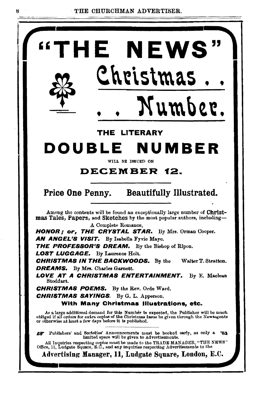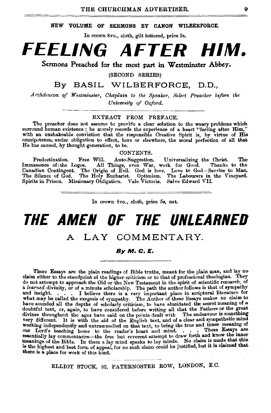#### NEW VOLUME OF SERMONS BY CANON WILBERFORCE.

In crown 8vo., cloth, gilt lettered, price 5s.

# **FEELING AFTER HIM.**

Sermons Preached for the most part in Westminster Abbey.

(SECOND SERIES)

## By BASIL WILBERFORCE, D.D.,

*.Archdeacon of Westminster, Chaplain to the Speaker, Select Preacher before the University of Oxford.* 

#### EXTRACT FROM PREFACE.

The preacher does not assume to provide a clear solution to the weary problems which surround human existence; he merely records the experience of a heart "feeling after Him," with an unshakeable conviction that the responsible Creative Spirit is, by virtue of His omnipotence, under obligation to effect, here or elsewhere, the moral perfection of aU that He has caused, by thought-generation, to be.

CONTENTS.

Predestination. Free Will. Auto-Suggestion. Universalizing the Christ. The<br>Immanence of the Logos. All Things, even War, work for Good. Thanks to the<br>Canadian Contingent. The Origin of Evil. God is love. Love to God—Servic

In crown 8vo., cloth, price 5s, net.

# **THE AMEN OF THE UNLEARNED**

## A LAY COMMENTARY

#### By M. C. E.

These Essays are the plain readings of Bible truths, meant for the plain man, and lay no claim either to the standpoint of the higher criticism or to that of professional theologian. They do not attempt to approach the Old or the New Testament in the spirit of scientific research, of a learned divinity, or of a minute scholarship. The path the author follows is that of sympathy and insight. . . . I believe there is a very important place in scriptural literature for what may be called the exegesis of sympathy. The Author of these Essays makes no claim to have sounded all the depths of scholarly criticism, to have elucidated the secret meaning of a doubtful text, or, again, to have considered before writing all that the Fathers or the great divines throughout the ages have said on the points dealt with. The endeavour is something very different. It is with the aid of the English text, and of a clear and sympathetic mind working independently and untrammelled on that text, to bring the true and inner meaning of our Lord's teaching home to the reader's heart and mind. . . . These Essays are essentially lay commentaries—the free but reverent attempt to draw forth and know the inner meanings of the Bible. In them a lay mind speaks t is the highest and best form of appeal, for no such claim could be justified, but it is claimed that there is a place for work of this kind.

ELLIOT STOCK, 62, PATERNOSTER ROW, LONDON, E.C.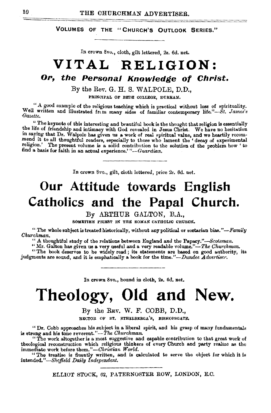VOLUMES OF THE "CHURCH'S OUTLOOK SERIES."

In crown 8vo., cloth, gilt lettered, 2e. 6d. net.

# **VITAL RELIGION:**

# **Or, the Personal Knowledge of Christ.**

By the Rev. G. H. S. WALPOLE, D.D., PRINCIPAL OF BEDE COLLEGE, DURHAM.

"A good example of the religious teaching which is practical without loss of spirituality. Well written and illustrated from many sides of familiar contemporary life."-Bt. James's *Gazette.* 

:• The keynote of this interesting and beautiful book is the thought that religion is essentially the life of friendship and intimacy with God revealed in Jesus Christ. We have no hesitation in saying that Dr. Walpole has given us a work of real spiritual value, and we heartily recommend it to all thoughtful readers, especially to those who lament the 'decay of experimental religion.' The present volume is a s find a basis for faith in an actual experience.' *"-Gaardian.* 

In crown 8vo., gilt, cloth lettered, price 2s. 6d. net.

# **Our Attitude towards English**  Catholics and the Papal Church.

By ARTHUR GALTON, B.A., SOMETIUE PRIEST IN THE ROMAN CATHOLIC CHUROH.

 $''$  The whole subject is treated historically, without any political or sectarian *bias.''-l'amily Churchman.* 

"A thoughtful study of the relations between England and the Papacy.'' *-Scotsman.* 

"Mr. Galton has given us a very useful and a very readable volume."-The Churchman.

"The book deserves to be widely read; its statements are based on good authority, its judgments are sound, and it is emphatically a book for the time."-Dundee Advertiser.

In crown 8vo., bound in cloth, 2s. 6d. net.

# **Theology, Old and New.**

# By the REV. W. F. COBB, D.D., RECTOR OF ST. ETHELBERGA'S, BISHOPSGATE.

"Dr. Cobb approaches his subject in a liberal spirit, and his grasp of many fundamentals is strong and his tone reverent."-*The Churchman.* 

"The work altogether is a most suggestive and capable contribution to that great work of theological reconstruction which religious thinkers of every Church and party realize as the immediate work before them."—*Christian World*.<br>
"The treatise is fluently written, and is calculated to serve the object for which it is

*intended.''-Bheifield Daily Independent.* 

ELLIOT STOCK, 62, PATERNOSTER ROW, LONDON, E.C.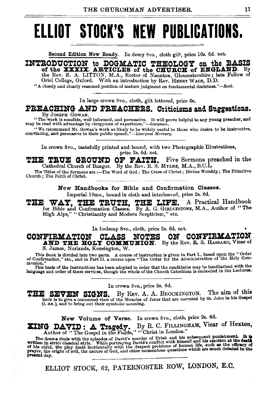# **ELLIOT STOCK'S NEW PUBLICATIONS.**

Second Edition Now Ready. In demy *Svo.,* cloth gilt, price lOs. 6d. net.

INTRODUCTION to DOGMATIC THEOLOGY on the BASIS of the **CHURCH** of ENGLAND. By

the Rev. E. A. LITTON, M.A., Rector of Naunton, Gloucestershire; late Fellow of Oriel College, Oxford. With an introduction by Rev. HENRY WACE, D.D.

"A closely and clearly reasoned position of mature judgment on fundamental doctrines." $-Rock$ .

In large crown Svo., cloth, gilt lettered, price 6s.

## **PREACHING AND PREACHERS. Criticisms and Suggestions.**

By JOSEPH GOWAN.

"The work Is sensible, well informed, and persuasive. It will prove helpful to any young preacher, and may be read with advantage by clergymen of *experience."-Scots•nan.* 

"We recommend Mr. Gowan's work as likely to be widely useful to these who desire to be instructive, .convincing, and persuasive in their public *speech."-Liverpool Mercury.* 

In crown Svo., tastefully printed and bound, with two Photographic Illustrations, price 2s. 6d. net.

THE TRUE GROUND OF FAITH. Five Sermons preached in the Cathedral Church of Bangor. By the Rev. R. S. MYLNE, M.A., B.C.L.

The Titles of the Sermons are :--The Word of God; The Cross of Christ; Divine Worship; The Primitive Church ; The Faith of Christ.

New Handbooks for Bible and Confirmation Classes.

Imperial 18mo., bound in cloth and interleaved, price 2s. 6d.<br>WAY. THE TRUTH. THE LIFE. A Pract THE WAY, THE TRUTH, THE LIFE. A Practical Handbook for Bible and Confirmation Classes. By A. G. GIRDLESTONE, M.A., Author of "The High Alps," "Christianity and Modern Scepticism," etc.

In foolscap 8vo., cloth, price 2s. 6d. net.<br>CLASS NOTES ON CONFIRMATION **CONFIRMATION CLASS NOTES ON CONFIRMATION AND THE HOLY COMMUNION.** By the Rev. R. S. HASSARD, Vicar of S. James, Norlands, Kensington, W.

This Book is divided into two parts. A course of instruction is given in Part I., based upon the "Order of Confirmation," etc., and in Part II. a course upon "The Order for the Administration of the Holy Com**munion."** 

This basis of the Instructions has been adopted in order that the candidates may be familiarized with the language and order of these services, though the whole of the Church Catechism is embodied in the Lectures.

In crown 8vo., price 2s. 6d.<br>THE SEVEN SIGNS. By Rev. A. A. BRO **THE SEVEN SIGNS.** By Rev. A. A. BROCKINGTON. The aim of this book is to give a connected view of the Miracles of Jesus that are narrated by St. John in his Gospel (i. xx.), and to bring out their symbolic meaning.

New Volume of Verse. In crown Svo., cloth, price 2s. 6d.

**ZING DAVID: A Tragedy.** By R. C. FILLINGHAM, Vicar of Hexton, Author of "The Gospel in the Fields," "Christ in London."

The drama deals with the episodes of David's murder of Uriah and his subsequent punishment. It is written in strict classical style. While portraying David's conflict with himself and his emotion at the death written in st

ELLIOT STOCK, 62, PATERNOSTER ROW, LONDON, E.C.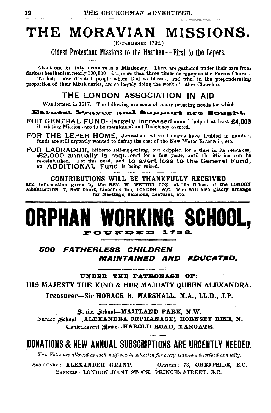# THE MORAVIAN MISSIONS.

(ESTABLISHED 1732.)

Oldest Protestant Missions to the Heathen-First to the Lepers.

About one in sixty members is a Missionary. There are gathered under their care from darkest heathenism nearly 100,000-i.e., more than three times as many as the Parent Church. To help those devoted people whom God so blesse', and who, in the preponderating proportion of their Missionaries, are so largely doing the work of other Churches,

## THE LONDON ASSOCIATION IN AID

Was formed in 1817. The following are some of many pressing needs for which

### Earnest Prayer and Support are Sought.

FOR GENERAL FUND-largely increased annual help of at least £4,000 if existing Missions are to be maintained and Deficiency averted.

- FOR THE LEPER HOME, Jerusalem, where Inmates have doubled in number, funds are still urgently wanted to defray the cost of the New Water Reservoir, etc.
- FOR LABRADOR, hitherto self-supporting, but crippled for a time in its resources, £2,000 annually is required for a few years, until the Mission can be re-established. For this need, and to avert loss to the General Fund, an ADDITIONAL Fund is being raised.

CONTRIBUTIONS WILL BE THANKFULLY RECEIVED and information given by the REV. W. WETTON CO+, at the omces of the LONDON ASSOCIATION, 7, New Court, Lincoln's Inn, LONDON, W.C., who will also gladly arrange for Meetings, Sermons, Lectures, etc.

# **ORPHAN WORKING SCHOOL,**   $$

## 500 FATHERLESS CHILDREN MAINTAINED AND EDUCATED.

UNDER THE PATRONAGE OP:

HIS MAJESTY THE KINO & HER MAJESTY QUEEN ALEXANDRA.

Treasurer-Sir HORACE B. MARSHALL, M.A., LL.D., J.P.

Senior School-MAITLAND PARK, N.W. Junior School-(ALEXANDRA ORPHANAGE), HORNSEY RISE, N. Conbalescent Home-HAROLD ROAD, MARGATE.

# DONATIONS & NEW ANNUAL SUBSCRIPTIONS ARE URGENTLY NEEDED.

Two Votes are allowed at each half-yearly Election for every Guinea subscribed annually.

SECRETABY: ALEXANDER GRANT. OFFICES: 73, CHEAPSIDE, E.C. BANKERS: LONDON JOINT STOCK, PRINCES STREET, E.C.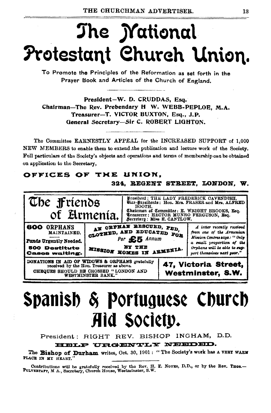# The *Mational* Protestant Church Union.

To Promote the Principles of the Reformation as set forth in the Praver Book and Articles of the Church of England,

President-W. D. CRUDDAS, Esq. Chairman-The Rev. Prebendary H W. WEBB-PEPLOE, M.A. Treasurer-T. VICTOR BUXTON, Esq., J.P. General Secretary-Sir C. ROBERT LIGHTON.

The Committee EARNESTLY APPEAL for the INCREASED SUPPORT of 1,000 NEW MEMBERS to enable them to extend the publication and lecture work of the Society. Full particulars of the Society's objects and operations and terms of membership can be obtained on application to the Secretary,

## OFFICES OF THE UNION.

#### 324, REGENT STREET, LONDON, W.



# Spanish & Portuguese Church Aid Society.

President: RIGHT REV. BISHOP INGHAM, D.D.

### HELP URGENTLY NEEDED.

The Bishop of Durham writes, Oct. 30, 1901: "The Society's work has a VERT WARM PLACE IN MY HEART.

Contributions will be gratefully received by the Rev. H. E. NovEs, D.D., or by the Rev. THOS.--<br>PULVERTAFT, M A., Secretary, Church House, Westminster, S.W.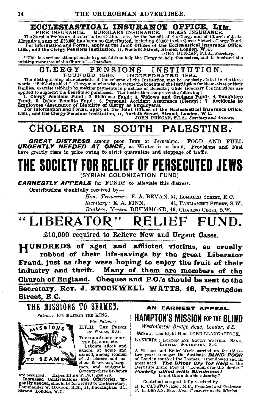#### ECCLESIASTICAL INSURANCE OFFICE. LIM.

**ECCLESIASTICAL INSURANCE.** FIRE INSURANCE. FIRE INSURANCE. BURGLARY INSURANCE. GLASS INSURANCE.<br>The Surplus Profits are dovoted to Institutions, etc., for the benefit of the Clergy and of Church objects.<br>Already a sum of

"This is a serious attempt made in good faith to help the Clergy to help themselves, and to husband the existing resources of the Church."-Guardian.

#### **CLERGY** PENSIONS INSTITUTION.

OLERAGY FEMOND INDIVIDED 1888. INCORPORATED 1892.<br>The distinguishing characteristic of the scheme of the Institution may be conciledly stated in the three<br>words, "Self-help aided." Clergymen who wish to secure the benefit

#### **CHOLERA** SOUTH PALESTINE. IN I

**GREAT DISTRESS** among poor Jews at Jerusalem. FOOD AND FUEL URGENTLY NEEDED AT ONCE, as Winter is at hand. Provisions and Fuel have greatly risen in price owing to strict quarantine and stoppage of traffic.

# THE SOCIETY FOR RELIEF OF PERSECUTED JEWS (SYRIAN COLONIZATION FUND)

**EARNESTLY APPEALS** for FUNDS to alleviate this distress.

Contributions thankfully received by-

Hon. Treasurer: F. A. BEVAN, 54, LOMBARD STREET, E.C. Secretary: E. A. FINN, 41, PARLIAMENT STREET, S.W. Bankers: Messrs. DRUMMOND, 49, CHARING CROSS, S.W.

#### "LIBERATOR" **RELIEF** FUND.

£10,000 required to Relieve New and Urgent Cases.

HUNDREDS of aged and afflicted victims, so cruelly robbed of their life-savings by the great Liberator Fraud, just as they were hoping to enjoy the fruit of their industry and thrift. Many of them are members of the Church of England. Cheques and P.O.'s should be sent to the Secretary, Rev. J. STOCKWELL WATTS, 16, Farringdon Street, E.C.

THE MISSIONS TO SEAMEN. Patron: HIS MAJESTY THE KING.



Vice-Patrons:

H.R.H. THE PRINCE OF WALES, K.G.

THE FOUR ARCHBISHOPS. THE BISHOPS, etc.

Labours afloat and ashore, at home and abroad, among seamen of all classes and nations, fishermen, barge-

state occupied. Experiment bargement and emigrants.<br>
Seventy-three harbours are occupied. Expenditure in 1901. £40,770.<br> **Increased Contributions and Offertories, urgently needed, should be forwarded to the Secretary,**<br>
Co



Westminster Bridge Road, London, S.E. Patron : The Right Hon. LORD LLANGATTOCK.

BANKERS: LONDON AND SOUTH WESTERN BANK, LIMITED, SOUTHWARK, S.E.

A Mission and Relief Work carried on for thirty-<br>two years amongst the dostitute **BLIND POOR**<br>of London south of the Thames. Unendowed and in<br>great need. **The Bitter Cry for Heip** of the<br>Destitute Blind Poor of "London ove Is not this a double calamity?

Contributions gratefully received by R. K. CAUSTON, Esq., M.P., President and Chairman.<br>F. L. BEVAN, Esq., Hon. Treasurer at the Mission.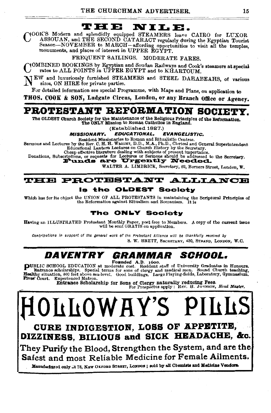#### THE NILE.

(OOK'S Modern and splendidly equipped STEAMERS leave CAIRO for LUXOR ASSOUAN, and THE SECOND CATARACT regularly during the Egyptian Tourist Season-NOVEMBER to MARCH-affording opportunities to visit all the temples, monuments, and places of interest in UPPER EGYPT.

FREQUENT SAILINGS. MODERATE FARES.

YOMBINED BOOKINGS by Egyptian and Soudan Railways and Cook's steamers at special rates to ALL POINTS in UPPER EGYPT and to KHARTOUM.

TEW and luxuriously furnished STEAMERS and STEEL DAHABEAHS, of various sizes, ON HIRE for private parties.

For detailed information see special Programme, with Maps and Plans, on application to

THOS. COOK & SON, Ludgate Circus, London, or any Branch Office or Agency.

#### PROTESTANT REFORMATION SOCIET Y.

The OLDEST Church Society for the Maintenance of the Religious Principles of the Reformation.<br>The ONLY Mission to Roman Catholics in England.

(Established 1827.)

#### **MISSIONARY. EDUCATIONAL. EVANGELISTIC.**

Resident Missionaries to Roman and Ritualistic Centres.

Sermons and Lectures by the Rev. C. H. H. WHIGHT, D.D., M.A., Ph.D., Clerical and General Superintendent<br>Educational Lantern Lectures on Church History by the Secretary.

Equations, Subscriptions, or requests for Lectures or Sermons should be addressed to the Secretary.<br>Donations, Subscriptions, or requests for Lectures or Sermons should be addressed to the Secretary.<br>Funds are Urgently Nee

WALTER A. LIMBRICK, Secretary, 62, Berners Street, London, W.

## **THE PROTESTANT ALLIANCE** is the OLDEST Society

Which has for its object the UNION OF ALL PROTESTANTS in maintaining the Scriptural Principles of the Reformation against Ritualism and Romanism. It is

## The ONLY Society

Having an ILLUSTRATED Protestant Monthly Paper, poet free to Members. A copy of the current issue will be sent GRATIS on application.

Contributions in support of the general work of the Protestant Alliance will be thankfully received by S. W. BRETT, SECRETARY, 430, STRAND, LONDON, W.C.

#### DAVENTRY GRAMMAR SCHOOL.

NUBLIC SCHOOL EDUCATION at mornta for some of the contract of University Graduates in Honours.<br>
Entrance scholarships. Special terms for some of clergy and medical men. Sound Church teaching,<br>
Healthy situation, 800 feet a

Entrance Scholarship for Sons of Clergy naturally reducing Fees.<br>For Prospectus apply: REV. H. JOHNSON, Head Master.